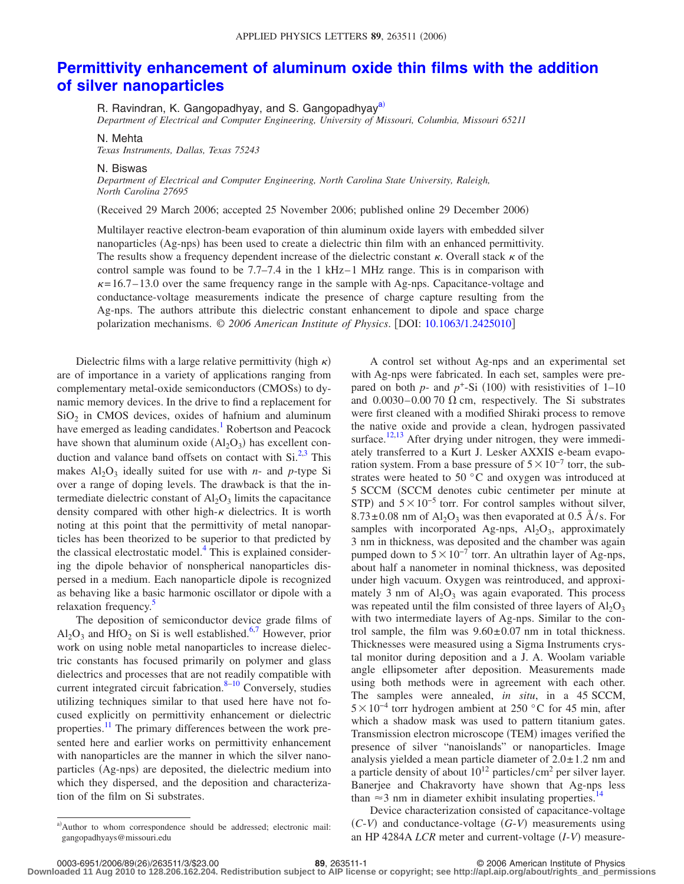## **[Permittivity enhancement of aluminum oxide thin films with the addition](http://dx.doi.org/10.1063/1.2425010) [of silver nanoparticles](http://dx.doi.org/10.1063/1.2425010)**

R. Ravindran, K. Gangopadh[ya](#page-0-0)y, and S. Gangopadhyay<sup>a)</sup>

*Department of Electrical and Computer Engineering, University of Missouri, Columbia, Missouri 65211*

## N. Mehta

*Texas Instruments, Dallas, Texas 75243*

## N. Biswas

*Department of Electrical and Computer Engineering, North Carolina State University, Raleigh, North Carolina 27695*

Received 29 March 2006; accepted 25 November 2006; published online 29 December 2006-

Multilayer reactive electron-beam evaporation of thin aluminum oxide layers with embedded silver nanoparticles (Ag-nps) has been used to create a dielectric thin film with an enhanced permittivity. The results show a frequency dependent increase of the dielectric constant  $\kappa$ . Overall stack  $\kappa$  of the control sample was found to be  $7.7 - 7.4$  in the 1 kHz–1 MHz range. This is in comparison with  $\kappa$ = 16.7– 13.0 over the same frequency range in the sample with Ag-nps. Capacitance-voltage and conductance-voltage measurements indicate the presence of charge capture resulting from the Ag-nps. The authors attribute this dielectric constant enhancement to dipole and space charge polarization mechanisms. © *2006 American Institute of Physics*. DOI: [10.1063/1.2425010](http://dx.doi.org/10.1063/1.2425010)

Dielectric films with a large relative permittivity (high  $\kappa$ ) are of importance in a variety of applications ranging from complementary metal-oxide semiconductors (CMOSs) to dynamic memory devices. In the drive to find a replacement for  $SiO<sub>2</sub>$  in CMOS devices, oxides of hafnium and aluminum have emerged as leading candidates.<sup>1</sup> Robertson and Peacock have shown that aluminum oxide  $(Al<sub>2</sub>O<sub>3</sub>)$  has excellent conduction and valance band offsets on contact with  $Si^{2,3}$  $Si^{2,3}$  $Si^{2,3}$ . This makes  $Al_2O_3$  ideally suited for use with *n*- and *p*-type Si over a range of doping levels. The drawback is that the intermediate dielectric constant of  $\text{Al}_2\text{O}_3$  limits the capacitance density compared with other high- $\kappa$  dielectrics. It is worth noting at this point that the permittivity of metal nanoparticles has been theorized to be superior to that predicted by the classical electrostatic model. $4$  This is explained considering the dipole behavior of nonspherical nanoparticles dispersed in a medium. Each nanoparticle dipole is recognized as behaving like a basic harmonic oscillator or dipole with a relaxation frequency.<sup>5</sup>

The deposition of semiconductor device grade films of  $Al_2O_3$  and HfO<sub>2</sub> on Si is well established.<sup>6[,7](#page-2-6)</sup> However, prior work on using noble metal nanoparticles to increase dielectric constants has focused primarily on polymer and glass dielectrics and processes that are not readily compatible with current integrated circuit fabrication. $8-10$  Conversely, studies utilizing techniques similar to that used here have not focused explicitly on permittivity enhancement or dielectric properties.<sup>11</sup> The primary differences between the work presented here and earlier works on permittivity enhancement with nanoparticles are the manner in which the silver nanoparticles (Ag-nps) are deposited, the dielectric medium into which they dispersed, and the deposition and characterization of the film on Si substrates.

<span id="page-0-0"></span>a) Author to whom correspondence should be addressed; electronic mail: gangopadhyays@missouri.edu

A control set without Ag-nps and an experimental set with Ag-nps were fabricated. In each set, samples were prepared on both  $p$ - and  $p$ <sup>+</sup>-Si (100) with resistivities of 1–10 and  $0.0030 - 0.0070 \Omega$  cm, respectively. The Si substrates were first cleaned with a modified Shiraki process to remove the native oxide and provide a clean, hydrogen passivated surface.<sup>12,[13](#page-2-11)</sup> After drying under nitrogen, they were immediately transferred to a Kurt J. Lesker AXXIS e-beam evaporation system. From a base pressure of  $5 \times 10^{-7}$  torr, the substrates were heated to 50 °C and oxygen was introduced at 5 SCCM (SCCM denotes cubic centimeter per minute at STP) and  $5 \times 10^{-5}$  torr. For control samples without silver,  $8.73 \pm 0.08$  nm of Al<sub>2</sub>O<sub>3</sub> was then evaporated at 0.5 Å/s. For samples with incorporated Ag-nps,  $Al_2O_3$ , approximately 3 nm in thickness, was deposited and the chamber was again pumped down to  $5\times10^{-7}$  torr. An ultrathin layer of Ag-nps, about half a nanometer in nominal thickness, was deposited under high vacuum. Oxygen was reintroduced, and approximately 3 nm of  $Al_2O_3$  was again evaporated. This process was repeated until the film consisted of three layers of  $A1_2O_3$ with two intermediate layers of Ag-nps. Similar to the control sample, the film was  $9.60 \pm 0.07$  nm in total thickness. Thicknesses were measured using a Sigma Instruments crystal monitor during deposition and a J. A. Woolam variable angle ellipsometer after deposition. Measurements made using both methods were in agreement with each other. The samples were annealed, *in situ*, in a 45 SCCM,  $5\times10^{-4}$  torr hydrogen ambient at 250 °C for 45 min, after which a shadow mask was used to pattern titanium gates. Transmission electron microscope (TEM) images verified the presence of silver "nanoislands" or nanoparticles. Image analysis yielded a mean particle diameter of  $2.0 \pm 1.2$  nm and a particle density of about  $10^{12}$  particles/cm<sup>2</sup> per silver layer. Banerjee and Chakravorty have shown that Ag-nps less than  $\approx$ 3 nm in diameter exhibit insulating properties.<sup>1</sup>

Device characterization consisted of capacitance-voltage *C*-*V*- and conductance-voltage *G*-*V*- measurements using an HP 4284A *LCR* meter and current-voltage (I-V) measure-

0003-6951/2006/89(263511/3/\$23.00 89, 263511-1 - 169, 263511-1<br>Downloaded 11 Aug 2010 to 128.206.162.204. Redistribution subject to AIP license or copyright; see http://apl.aip.org/about/rights\_and\_permissions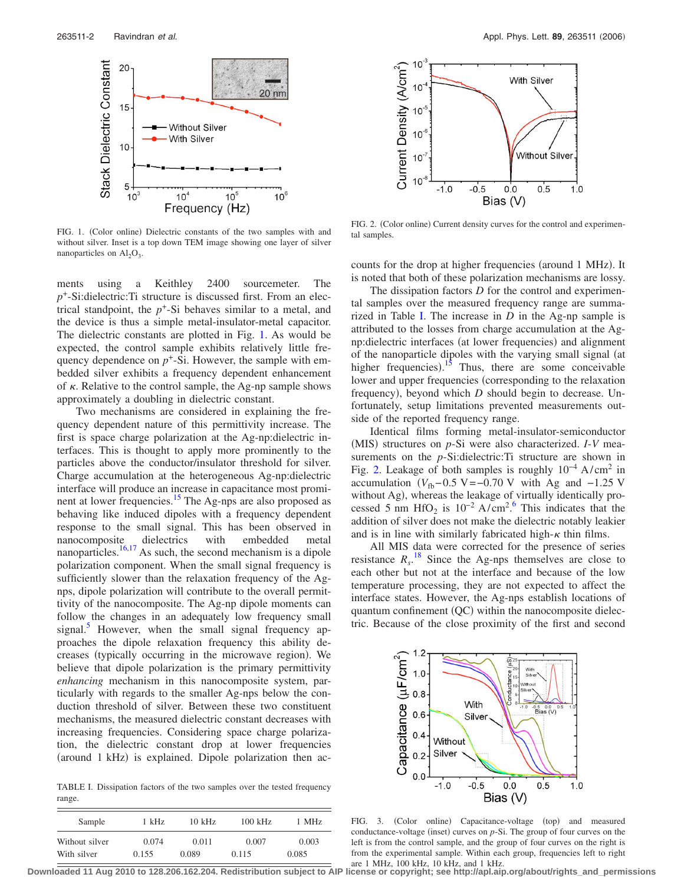<span id="page-1-0"></span>

FIG. 1. (Color online) Dielectric constants of the two samples with and without silver. Inset is a top down TEM image showing one layer of silver nanoparticles on  $\text{Al}_2\text{O}_3$ .

ments using a Keithley 2400 sourcemeter. The *p*+-Si:dielectric:Ti structure is discussed first. From an electrical standpoint, the  $p^+$ -Si behaves similar to a metal, and the device is thus a simple metal-insulator-metal capacitor. The dielectric constants are plotted in Fig. [1.](#page-1-0) As would be expected, the control sample exhibits relatively little frequency dependence on  $p^+$ -Si. However, the sample with embedded silver exhibits a frequency dependent enhancement of  $\kappa$ . Relative to the control sample, the Ag-np sample shows approximately a doubling in dielectric constant.

Two mechanisms are considered in explaining the frequency dependent nature of this permittivity increase. The first is space charge polarization at the Ag-np:dielectric interfaces. This is thought to apply more prominently to the particles above the conductor/insulator threshold for silver. Charge accumulation at the heterogeneous Ag-np:dielectric interface will produce an increase in capacitance most prominent at lower frequencies.<sup>15</sup> The Ag-nps are also proposed as behaving like induced dipoles with a frequency dependent response to the small signal. This has been observed in nanocomposite dielectrics with embedded metal nanoparticles.<sup>16[,17](#page-2-15)</sup> As such, the second mechanism is a dipole polarization component. When the small signal frequency is sufficiently slower than the relaxation frequency of the Agnps, dipole polarization will contribute to the overall permittivity of the nanocomposite. The Ag-np dipole moments can follow the changes in an adequately low frequency small signal.<sup>5</sup> However, when the small signal frequency approaches the dipole relaxation frequency this ability decreases (typically occurring in the microwave region). We believe that dipole polarization is the primary permittivity *enhancing* mechanism in this nanocomposite system, particularly with regards to the smaller Ag-nps below the conduction threshold of silver. Between these two constituent mechanisms, the measured dielectric constant decreases with increasing frequencies. Considering space charge polarization, the dielectric constant drop at lower frequencies (around 1 kHz) is explained. Dipole polarization then ac-

<span id="page-1-1"></span>TABLE I. Dissipation factors of the two samples over the tested frequency range.

| Sample         | 1 kHz | $10$ kHz | $100 \text{ kHz}$ | 1 MHz |
|----------------|-------|----------|-------------------|-------|
| Without silver | 0.074 | 0.011    | 0.007             | 0.003 |
| With silver    | 0.155 | 0.089    | 0.115             | 0.085 |

<span id="page-1-2"></span>

FIG. 2. (Color online) Current density curves for the control and experimental samples.

counts for the drop at higher frequencies (around 1 MHz). It is noted that both of these polarization mechanisms are lossy.

The dissipation factors *D* for the control and experimental samples over the measured frequency range are summarized in Table [I.](#page-1-1) The increase in *D* in the Ag-np sample is attributed to the losses from charge accumulation at the Agnp:dielectric interfaces (at lower frequencies) and alignment of the nanoparticle dipoles with the varying small signal (at higher frequencies).<sup>[15](#page-2-13)</sup> Thus, there are some conceivable lower and upper frequencies (corresponding to the relaxation frequency), beyond which *D* should begin to decrease. Unfortunately, setup limitations prevented measurements outside of the reported frequency range.

Identical films forming metal-insulator-semiconductor (MIS) structures on *p*-Si were also characterized. *I*-*V* measurements on the *p*-Si:dielectric:Ti structure are shown in Fig. [2.](#page-1-2) Leakage of both samples is roughly  $10^{-4}$  A/cm<sup>2</sup> in accumulation  $(V_{\text{fb}} - 0.5 \text{ V} = -0.70 \text{ V}$  with Ag and  $-1.25 \text{ V}$ without Ag), whereas the leakage of virtually identically processed 5 nm HfO<sub>2</sub> is  $10^{-2}$  A/cm<sup>2</sup>.<sup>[6](#page-2-5)</sup> This indicates that the addition of silver does not make the dielectric notably leakier and is in line with similarly fabricated high- $\kappa$  thin films.

All MIS data were corrected for the presence of series resistance  $R_s$ <sup>[18](#page-2-16)</sup> Since the Ag-nps themselves are close to each other but not at the interface and because of the low temperature processing, they are not expected to affect the interface states. However, the Ag-nps establish locations of quantum confinement (QC) within the nanocomposite dielectric. Because of the close proximity of the first and second

<span id="page-1-3"></span>

FIG. 3. (Color online) Capacitance-voltage (top) and measured conductance-voltage (inset) curves on  $p$ -Si. The group of four curves on the left is from the control sample, and the group of four curves on the right is from the experimental sample. Within each group, frequencies left to right are 1 MHz, 100 kHz, 10 kHz, and 1 kHz.

**Downloaded 11 Aug 2010 to 128.206.162.204. Redistribution subject to AIP license or copyright; see http://apl.aip.org/about/rights\_and\_permissions**